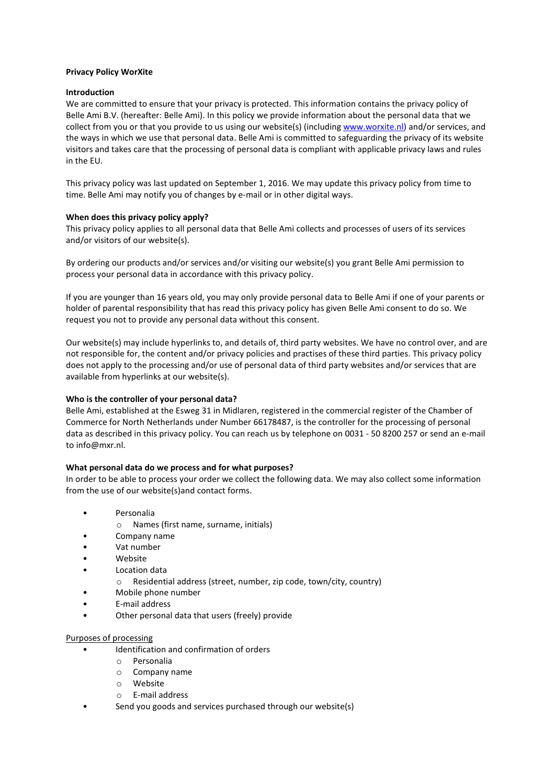#### **Privacy Policy WorXite**

#### **Introduction**

We are committed to ensure that your privacy is protected. This information contains the privacy policy of Belle Ami B.V. (hereafter: Belle Ami). In this policy we provide information about the personal data that we collect from you or that you provide to us using our website(s) (includin[g www.worxite.nl\)](http://www.worxite.nl/) and/or services, and the ways in which we use that personal data. Belle Ami is committed to safeguarding the privacy of its website visitors and takes care that the processing of personal data is compliant with applicable privacy laws and rules in the EU.

This privacy policy was last updated on September 1, 2016. We may update this privacy policy from time to time. Belle Ami may notify you of changes by e-mail or in other digital ways.

#### **When does this privacy policy apply?**

This privacy policy applies to all personal data that Belle Ami collects and processes of users of its services and/or visitors of our website(s).

By ordering our products and/or services and/or visiting our website(s) you grant Belle Ami permission to process your personal data in accordance with this privacy policy.

If you are younger than 16 years old, you may only provide personal data to Belle Ami if one of your parents or holder of parental responsibility that has read this privacy policy has given Belle Ami consent to do so. We request you not to provide any personal data without this consent.

Our website(s) may include hyperlinks to, and details of, third party websites. We have no control over, and are not responsible for, the content and/or privacy policies and practises of these third parties. This privacy policy does not apply to the processing and/or use of personal data of third party websites and/or services that are available from hyperlinks at our website(s).

# **Who is the controller of your personal data?**

Belle Ami, established at the Esweg 31 in Midlaren, registered in the commercial register of the Chamber of Commerce for North Netherlands under Number 66178487, is the controller for the processing of personal data as described in this privacy policy. You can reach us by telephone on 0031 - 50 8200 257 or send an e-mail to info@mxr.nl.

#### **What personal data do we process and for what purposes?**

In order to be able to process your order we collect the following data. We may also collect some information from the use of our website(s)and contact forms.

- Personalia
	- o Names (first name, surname, initials)
- Company name
- Vat number
- Website
- Location data
	- o Residential address (street, number, zip code, town/city, country)
- Mobile phone number
- E-mail address
- Other personal data that users (freely) provide

# Purposes of processing

- Identification and confirmation of orders
	- o Personalia
	- o Company name
	- o Website
	- o E-mail address
- Send you goods and services purchased through our website(s)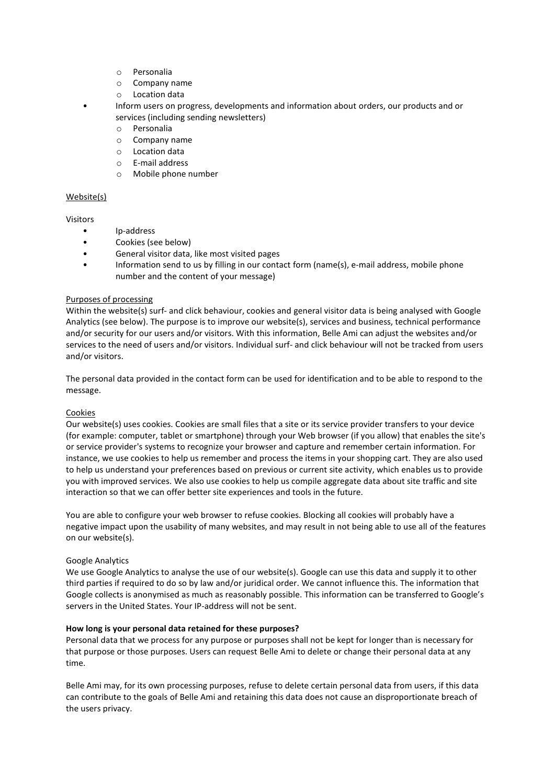- o Personalia
- o Company name
- o Location data
- Inform users on progress, developments and information about orders, our products and or services (including sending newsletters)
	- o Personalia
	- o Company name
	- o Location data
	- o E-mail address
	- o Mobile phone number

# Website(s)

# Visitors

- Ip-address
- Cookies (see below)
- General visitor data, like most visited pages
- Information send to us by filling in our contact form (name(s), e-mail address, mobile phone number and the content of your message)

# Purposes of processing

Within the website(s) surf- and click behaviour, cookies and general visitor data is being analysed with Google Analytics (see below). The purpose is to improve our website(s), services and business, technical performance and/or security for our users and/or visitors. With this information, Belle Ami can adjust the websites and/or services to the need of users and/or visitors. Individual surf- and click behaviour will not be tracked from users and/or visitors.

The personal data provided in the contact form can be used for identification and to be able to respond to the message.

# **Cookies**

Our website(s) uses cookies. Cookies are small files that a site or its service provider transfers to your device (for example: computer, tablet or smartphone) through your Web browser (if you allow) that enables the site's or service provider's systems to recognize your browser and capture and remember certain information. For instance, we use cookies to help us remember and process the items in your shopping cart. They are also used to help us understand your preferences based on previous or current site activity, which enables us to provide you with improved services. We also use cookies to help us compile aggregate data about site traffic and site interaction so that we can offer better site experiences and tools in the future.

You are able to configure your web browser to refuse cookies. Blocking all cookies will probably have a negative impact upon the usability of many websites, and may result in not being able to use all of the features on our website(s).

# Google Analytics

We use Google Analytics to analyse the use of our website(s). Google can use this data and supply it to other third parties if required to do so by law and/or juridical order. We cannot influence this. The information that Google collects is anonymised as much as reasonably possible. This information can be transferred to Google's servers in the United States. Your IP-address will not be sent.

# **How long is your personal data retained for these purposes?**

Personal data that we process for any purpose or purposes shall not be kept for longer than is necessary for that purpose or those purposes. Users can request Belle Ami to delete or change their personal data at any time.

Belle Ami may, for its own processing purposes, refuse to delete certain personal data from users, if this data can contribute to the goals of Belle Ami and retaining this data does not cause an disproportionate breach of the users privacy.